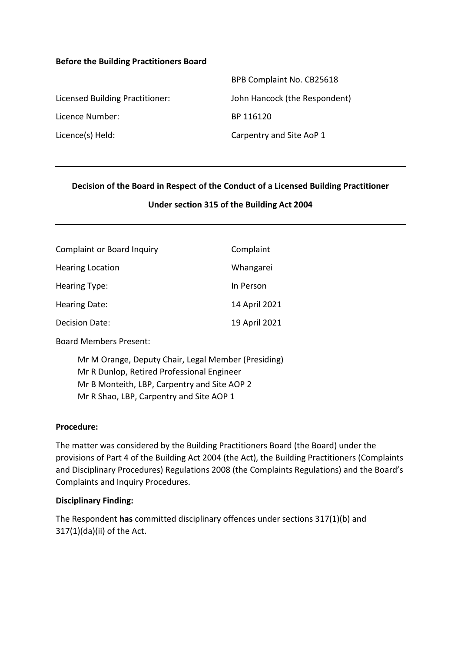#### **Before the Building Practitioners Board**

|                                 | BPB Complaint No. CB25618     |
|---------------------------------|-------------------------------|
| Licensed Building Practitioner: | John Hancock (the Respondent) |
| Licence Number:                 | BP 116120                     |
| Licence(s) Held:                | Carpentry and Site AoP 1      |

#### **Decision of the Board in Respect of the Conduct of a Licensed Building Practitioner**

#### **Under section 315 of the Building Act 2004**

| <b>Complaint or Board Inquiry</b> | Complaint     |
|-----------------------------------|---------------|
| <b>Hearing Location</b>           | Whangarei     |
| <b>Hearing Type:</b>              | In Person     |
| <b>Hearing Date:</b>              | 14 April 2021 |
| Decision Date:                    | 19 April 2021 |

Board Members Present:

Mr M Orange, Deputy Chair, Legal Member (Presiding) Mr R Dunlop, Retired Professional Engineer Mr B Monteith, LBP, Carpentry and Site AOP 2 Mr R Shao, LBP, Carpentry and Site AOP 1

#### **Procedure:**

The matter was considered by the Building Practitioners Board (the Board) under the provisions of Part 4 of the Building Act 2004 (the Act), the Building Practitioners (Complaints and Disciplinary Procedures) Regulations 2008 (the Complaints Regulations) and the Board's Complaints and Inquiry Procedures.

#### **Disciplinary Finding:**

The Respondent **has** committed disciplinary offences under sections 317(1)(b) and 317(1)(da)(ii) of the Act.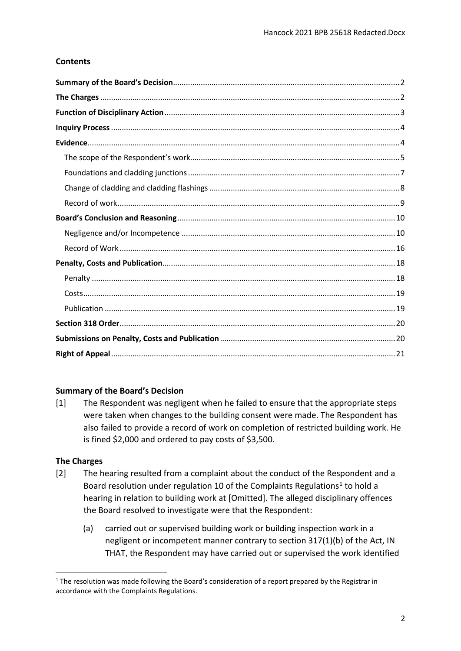# **Contents**

# <span id="page-1-0"></span>**Summary of the Board's Decision**

[1] The Respondent was negligent when he failed to ensure that the appropriate steps were taken when changes to the building consent were made. The Respondent has also failed to provide a record of work on completion of restricted building work. He is fined \$2,000 and ordered to pay costs of \$3,500.

# <span id="page-1-1"></span>**The Charges**

- [2] The hearing resulted from a complaint about the conduct of the Respondent and a Board resolution under regulation 10 of the Complaints Regulations<sup>1</sup> to hold a hearing in relation to building work at [Omitted]. The alleged disciplinary offences the Board resolved to investigate were that the Respondent:
	- (a) carried out or supervised building work or building inspection work in a negligent or incompetent manner contrary to section 317(1)(b) of the Act, IN THAT, the Respondent may have carried out or supervised the work identified

<span id="page-1-2"></span> $1$  The resolution was made following the Board's consideration of a report prepared by the Registrar in accordance with the Complaints Regulations.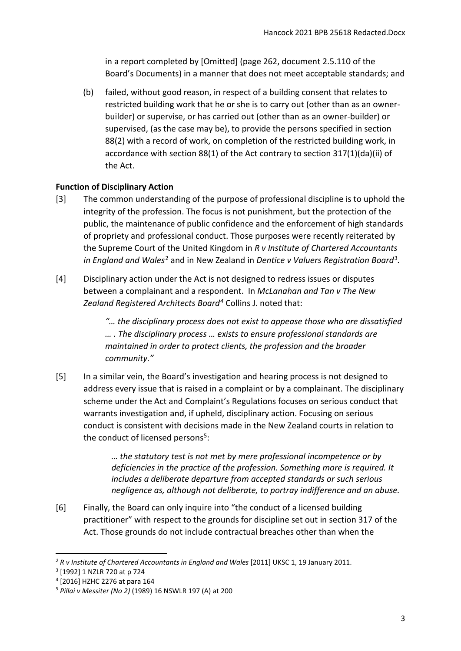in a report completed by [Omitted] (page 262, document 2.5.110 of the Board's Documents) in a manner that does not meet acceptable standards; and

(b) failed, without good reason, in respect of a building consent that relates to restricted building work that he or she is to carry out (other than as an ownerbuilder) or supervise, or has carried out (other than as an owner-builder) or supervised, (as the case may be), to provide the persons specified in section 88(2) with a record of work, on completion of the restricted building work, in accordance with section 88(1) of the Act contrary to section 317(1)(da)(ii) of the Act.

# <span id="page-2-0"></span>**Function of Disciplinary Action**

- [3] The common understanding of the purpose of professional discipline is to uphold the integrity of the profession. The focus is not punishment, but the protection of the public, the maintenance of public confidence and the enforcement of high standards of propriety and professional conduct. Those purposes were recently reiterated by the Supreme Court of the United Kingdom in *R v Institute of Chartered Accountants in England and Wales*[2](#page-2-1) and in New Zealand in *Dentice v Valuers Registration Board*[3](#page-2-2)*.*
- [4] Disciplinary action under the Act is not designed to redress issues or disputes between a complainant and a respondent. In *McLanahan and Tan v The New Zealand Registered Architects Board[4](#page-2-3)* Collins J. noted that:

*"… the disciplinary process does not exist to appease those who are dissatisfied … . The disciplinary process … exists to ensure professional standards are maintained in order to protect clients, the profession and the broader community."*

[5] In a similar vein, the Board's investigation and hearing process is not designed to address every issue that is raised in a complaint or by a complainant. The disciplinary scheme under the Act and Complaint's Regulations focuses on serious conduct that warrants investigation and, if upheld, disciplinary action. Focusing on serious conduct is consistent with decisions made in the New Zealand courts in relation to the conduct of licensed persons<sup>[5](#page-2-4)</sup>:

> *… the statutory test is not met by mere professional incompetence or by deficiencies in the practice of the profession. Something more is required. It includes a deliberate departure from accepted standards or such serious negligence as, although not deliberate, to portray indifference and an abuse.*

[6] Finally, the Board can only inquire into "the conduct of a licensed building practitioner" with respect to the grounds for discipline set out in section 317 of the Act. Those grounds do not include contractual breaches other than when the

<span id="page-2-1"></span><sup>&</sup>lt;sup>2</sup> R v Institute of Chartered Accountants in England and Wales [2011] UKSC 1, 19 January 2011.

<span id="page-2-2"></span><sup>3</sup> [1992] 1 NZLR 720 at p 724

<span id="page-2-3"></span><sup>4</sup> [2016] HZHC 2276 at para 164

<span id="page-2-4"></span><sup>5</sup> *Pillai v Messiter (No 2)* (1989) 16 NSWLR 197 (A) at 200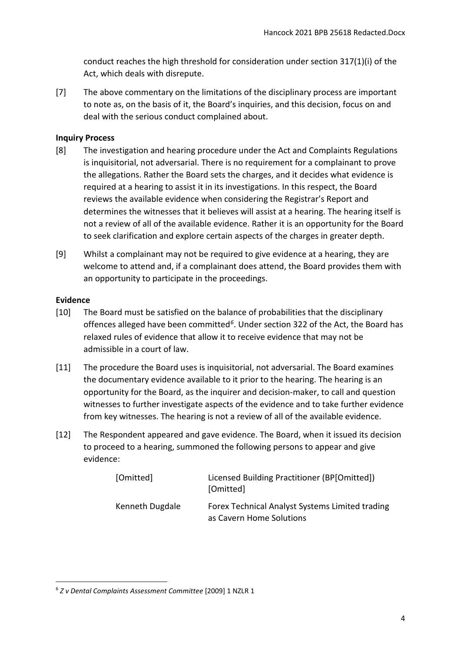conduct reaches the high threshold for consideration under section 317(1)(i) of the Act, which deals with disrepute.

[7] The above commentary on the limitations of the disciplinary process are important to note as, on the basis of it, the Board's inquiries, and this decision, focus on and deal with the serious conduct complained about.

# <span id="page-3-0"></span>**Inquiry Process**

- [8] The investigation and hearing procedure under the Act and Complaints Regulations is inquisitorial, not adversarial. There is no requirement for a complainant to prove the allegations. Rather the Board sets the charges, and it decides what evidence is required at a hearing to assist it in its investigations. In this respect, the Board reviews the available evidence when considering the Registrar's Report and determines the witnesses that it believes will assist at a hearing. The hearing itself is not a review of all of the available evidence. Rather it is an opportunity for the Board to seek clarification and explore certain aspects of the charges in greater depth.
- [9] Whilst a complainant may not be required to give evidence at a hearing, they are welcome to attend and, if a complainant does attend, the Board provides them with an opportunity to participate in the proceedings.

# <span id="page-3-1"></span>**Evidence**

- [10] The Board must be satisfied on the balance of probabilities that the disciplinary offences alleged have been committed*[6](#page-3-2)*. Under section 322 of the Act, the Board has relaxed rules of evidence that allow it to receive evidence that may not be admissible in a court of law.
- [11] The procedure the Board uses is inquisitorial, not adversarial. The Board examines the documentary evidence available to it prior to the hearing. The hearing is an opportunity for the Board, as the inquirer and decision-maker, to call and question witnesses to further investigate aspects of the evidence and to take further evidence from key witnesses. The hearing is not a review of all of the available evidence.
- [12] The Respondent appeared and gave evidence. The Board, when it issued its decision to proceed to a hearing, summoned the following persons to appear and give evidence:

| [Omitted]       | Licensed Building Practitioner (BP[Omitted])<br>[Omitted]                   |
|-----------------|-----------------------------------------------------------------------------|
| Kenneth Dugdale | Forex Technical Analyst Systems Limited trading<br>as Cavern Home Solutions |

<span id="page-3-2"></span> $\overline{a}$ <sup>6</sup> *Z v Dental Complaints Assessment Committee* [2009] 1 NZLR 1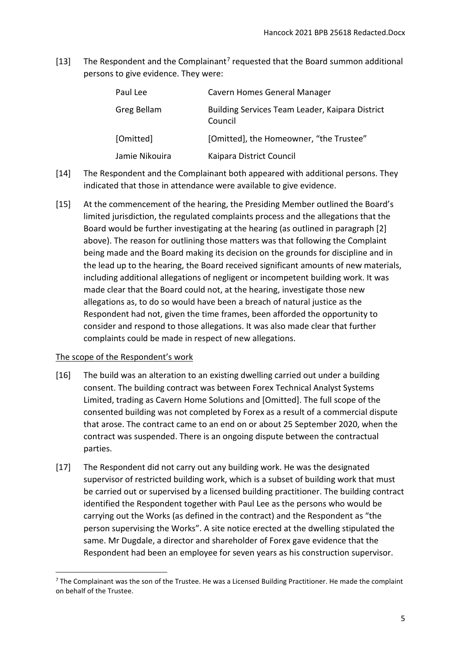[13] The Respondent and the Complainant<sup>[7](#page-4-1)</sup> requested that the Board summon additional persons to give evidence. They were:

| Paul Lee       | Cavern Homes General Manager                               |
|----------------|------------------------------------------------------------|
| Greg Bellam    | Building Services Team Leader, Kaipara District<br>Council |
| [Omitted]      | [Omitted], the Homeowner, "the Trustee"                    |
| Jamie Nikouira | Kaipara District Council                                   |

- [14] The Respondent and the Complainant both appeared with additional persons. They indicated that those in attendance were available to give evidence.
- [15] At the commencement of the hearing, the Presiding Member outlined the Board's limited jurisdiction, the regulated complaints process and the allegations that the Board would be further investigating at the hearing (as outlined in paragraph [2] above). The reason for outlining those matters was that following the Complaint being made and the Board making its decision on the grounds for discipline and in the lead up to the hearing, the Board received significant amounts of new materials, including additional allegations of negligent or incompetent building work. It was made clear that the Board could not, at the hearing, investigate those new allegations as, to do so would have been a breach of natural justice as the Respondent had not, given the time frames, been afforded the opportunity to consider and respond to those allegations. It was also made clear that further complaints could be made in respect of new allegations.

# <span id="page-4-0"></span>The scope of the Respondent's work

- [16] The build was an alteration to an existing dwelling carried out under a building consent. The building contract was between Forex Technical Analyst Systems Limited, trading as Cavern Home Solutions and [Omitted]. The full scope of the consented building was not completed by Forex as a result of a commercial dispute that arose. The contract came to an end on or about 25 September 2020, when the contract was suspended. There is an ongoing dispute between the contractual parties.
- [17] The Respondent did not carry out any building work. He was the designated supervisor of restricted building work, which is a subset of building work that must be carried out or supervised by a licensed building practitioner. The building contract identified the Respondent together with Paul Lee as the persons who would be carrying out the Works (as defined in the contract) and the Respondent as "the person supervising the Works". A site notice erected at the dwelling stipulated the same. Mr Dugdale, a director and shareholder of Forex gave evidence that the Respondent had been an employee for seven years as his construction supervisor.

<span id="page-4-1"></span> $<sup>7</sup>$  The Complainant was the son of the Trustee. He was a Licensed Building Practitioner. He made the complaint</sup> on behalf of the Trustee.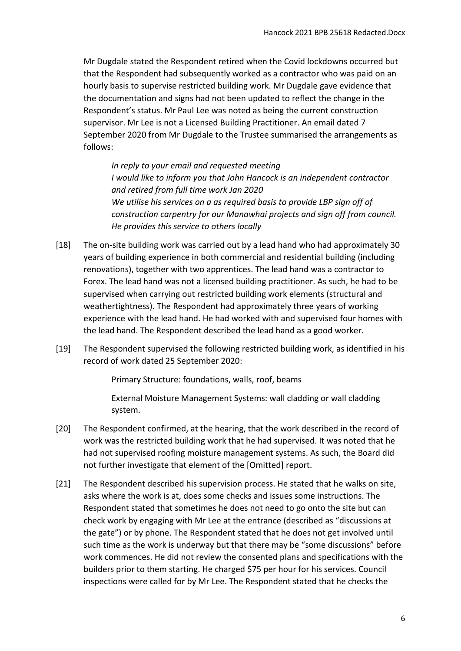Mr Dugdale stated the Respondent retired when the Covid lockdowns occurred but that the Respondent had subsequently worked as a contractor who was paid on an hourly basis to supervise restricted building work. Mr Dugdale gave evidence that the documentation and signs had not been updated to reflect the change in the Respondent's status. Mr Paul Lee was noted as being the current construction supervisor. Mr Lee is not a Licensed Building Practitioner. An email dated 7 September 2020 from Mr Dugdale to the Trustee summarised the arrangements as follows:

*In reply to your email and requested meeting I would like to inform you that John Hancock is an independent contractor and retired from full time work Jan 2020 We utilise his services on a as required basis to provide LBP sign off of construction carpentry for our Manawhai projects and sign off from council. He provides this service to others locally*

- [18] The on-site building work was carried out by a lead hand who had approximately 30 years of building experience in both commercial and residential building (including renovations), together with two apprentices. The lead hand was a contractor to Forex. The lead hand was not a licensed building practitioner. As such, he had to be supervised when carrying out restricted building work elements (structural and weathertightness). The Respondent had approximately three years of working experience with the lead hand. He had worked with and supervised four homes with the lead hand. The Respondent described the lead hand as a good worker.
- [19] The Respondent supervised the following restricted building work, as identified in his record of work dated 25 September 2020:

Primary Structure: foundations, walls, roof, beams

External Moisture Management Systems: wall cladding or wall cladding system.

- [20] The Respondent confirmed, at the hearing, that the work described in the record of work was the restricted building work that he had supervised. It was noted that he had not supervised roofing moisture management systems. As such, the Board did not further investigate that element of the [Omitted] report.
- [21] The Respondent described his supervision process. He stated that he walks on site, asks where the work is at, does some checks and issues some instructions. The Respondent stated that sometimes he does not need to go onto the site but can check work by engaging with Mr Lee at the entrance (described as "discussions at the gate") or by phone. The Respondent stated that he does not get involved until such time as the work is underway but that there may be "some discussions" before work commences. He did not review the consented plans and specifications with the builders prior to them starting. He charged \$75 per hour for his services. Council inspections were called for by Mr Lee. The Respondent stated that he checks the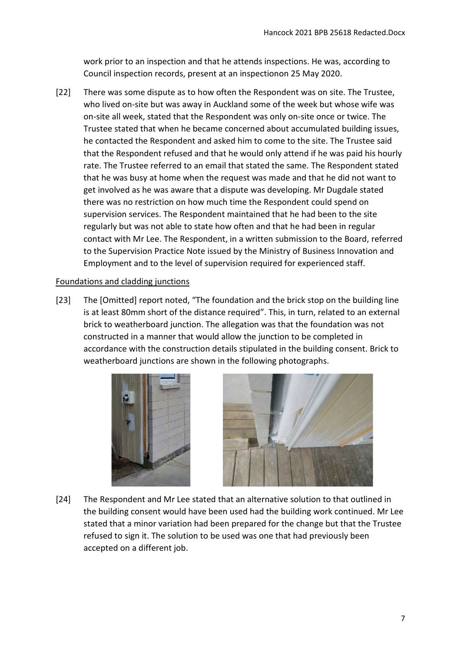work prior to an inspection and that he attends inspections. He was, according to Council inspection records, present at an inspectionon 25 May 2020.

[22] There was some dispute as to how often the Respondent was on site. The Trustee, who lived on-site but was away in Auckland some of the week but whose wife was on-site all week, stated that the Respondent was only on-site once or twice. The Trustee stated that when he became concerned about accumulated building issues, he contacted the Respondent and asked him to come to the site. The Trustee said that the Respondent refused and that he would only attend if he was paid his hourly rate. The Trustee referred to an email that stated the same. The Respondent stated that he was busy at home when the request was made and that he did not want to get involved as he was aware that a dispute was developing. Mr Dugdale stated there was no restriction on how much time the Respondent could spend on supervision services. The Respondent maintained that he had been to the site regularly but was not able to state how often and that he had been in regular contact with Mr Lee. The Respondent, in a written submission to the Board, referred to the Supervision Practice Note issued by the Ministry of Business Innovation and Employment and to the level of supervision required for experienced staff.

# <span id="page-6-0"></span>Foundations and cladding junctions

[23] The [Omitted] report noted, "The foundation and the brick stop on the building line is at least 80mm short of the distance required". This, in turn, related to an external brick to weatherboard junction. The allegation was that the foundation was not constructed in a manner that would allow the junction to be completed in accordance with the construction details stipulated in the building consent. Brick to weatherboard junctions are shown in the following photographs.



[24] The Respondent and Mr Lee stated that an alternative solution to that outlined in the building consent would have been used had the building work continued. Mr Lee stated that a minor variation had been prepared for the change but that the Trustee refused to sign it. The solution to be used was one that had previously been accepted on a different job.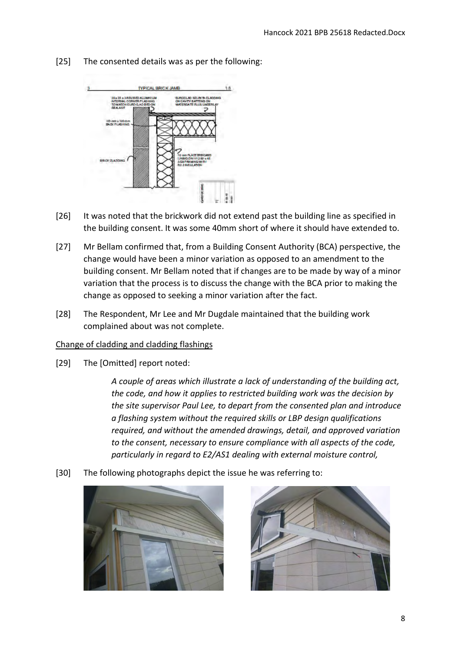- **TYPICAL BRICK JAME**
- [25] The consented details was as per the following:

- [26] It was noted that the brickwork did not extend past the building line as specified in the building consent. It was some 40mm short of where it should have extended to.
- [27] Mr Bellam confirmed that, from a Building Consent Authority (BCA) perspective, the change would have been a minor variation as opposed to an amendment to the building consent. Mr Bellam noted that if changes are to be made by way of a minor variation that the process is to discuss the change with the BCA prior to making the change as opposed to seeking a minor variation after the fact.
- [28] The Respondent, Mr Lee and Mr Dugdale maintained that the building work complained about was not complete.

# <span id="page-7-0"></span>Change of cladding and cladding flashings

[29] The [Omitted] report noted:

*A couple of areas which illustrate a lack of understanding of the building act, the code, and how it applies to restricted building work was the decision by the site supervisor Paul Lee, to depart from the consented plan and introduce a flashing system without the required skills or LBP design qualifications required, and without the amended drawings, detail, and approved variation to the consent, necessary to ensure compliance with all aspects of the code, particularly in regard to E2/AS1 dealing with external moisture control,*

[30] The following photographs depict the issue he was referring to:



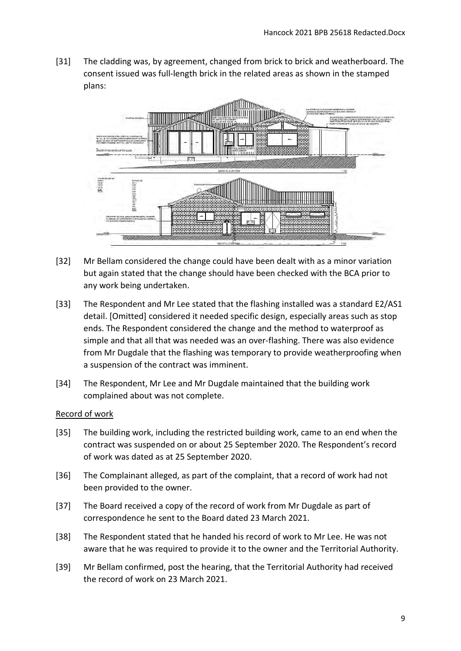[31] The cladding was, by agreement, changed from brick to brick and weatherboard. The consent issued was full-length brick in the related areas as shown in the stamped plans:



- [32] Mr Bellam considered the change could have been dealt with as a minor variation but again stated that the change should have been checked with the BCA prior to any work being undertaken.
- [33] The Respondent and Mr Lee stated that the flashing installed was a standard E2/AS1 detail. [Omitted] considered it needed specific design, especially areas such as stop ends. The Respondent considered the change and the method to waterproof as simple and that all that was needed was an over-flashing. There was also evidence from Mr Dugdale that the flashing was temporary to provide weatherproofing when a suspension of the contract was imminent.
- [34] The Respondent, Mr Lee and Mr Dugdale maintained that the building work complained about was not complete.

# <span id="page-8-0"></span>Record of work

- [35] The building work, including the restricted building work, came to an end when the contract was suspended on or about 25 September 2020. The Respondent's record of work was dated as at 25 September 2020.
- [36] The Complainant alleged, as part of the complaint, that a record of work had not been provided to the owner.
- [37] The Board received a copy of the record of work from Mr Dugdale as part of correspondence he sent to the Board dated 23 March 2021.
- [38] The Respondent stated that he handed his record of work to Mr Lee. He was not aware that he was required to provide it to the owner and the Territorial Authority.
- [39] Mr Bellam confirmed, post the hearing, that the Territorial Authority had received the record of work on 23 March 2021.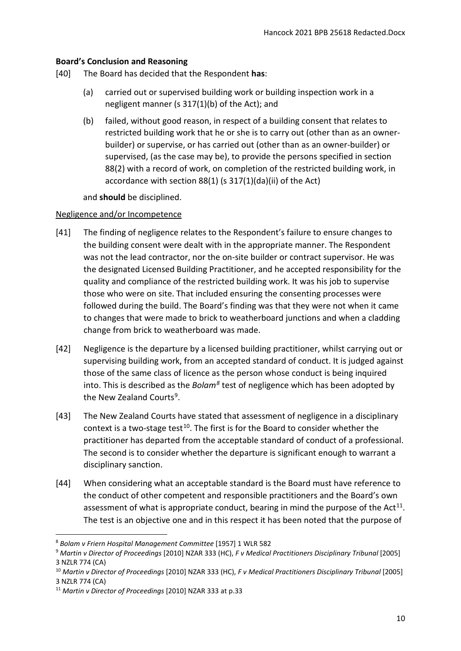# <span id="page-9-0"></span>**Board's Conclusion and Reasoning**

- [40] The Board has decided that the Respondent **has**:
	- (a) carried out or supervised building work or building inspection work in a negligent manner (s 317(1)(b) of the Act); and
	- (b) failed, without good reason, in respect of a building consent that relates to restricted building work that he or she is to carry out (other than as an ownerbuilder) or supervise, or has carried out (other than as an owner-builder) or supervised, (as the case may be), to provide the persons specified in section 88(2) with a record of work, on completion of the restricted building work, in accordance with section 88(1) (s 317(1)(da)(ii) of the Act)

and **should** be disciplined.

# <span id="page-9-1"></span>Negligence and/or Incompetence

- [41] The finding of negligence relates to the Respondent's failure to ensure changes to the building consent were dealt with in the appropriate manner. The Respondent was not the lead contractor, nor the on-site builder or contract supervisor. He was the designated Licensed Building Practitioner, and he accepted responsibility for the quality and compliance of the restricted building work. It was his job to supervise those who were on site. That included ensuring the consenting processes were followed during the build. The Board's finding was that they were not when it came to changes that were made to brick to weatherboard junctions and when a cladding change from brick to weatherboard was made.
- [42] Negligence is the departure by a licensed building practitioner, whilst carrying out or supervising building work, from an accepted standard of conduct. It is judged against those of the same class of licence as the person whose conduct is being inquired into. This is described as the *Bolam[8](#page-9-2)* test of negligence which has been adopted by the New Zealand Courts<sup>9</sup>.
- [43] The New Zealand Courts have stated that assessment of negligence in a disciplinary context is a two-stage test<sup>[10](#page-9-4)</sup>. The first is for the Board to consider whether the practitioner has departed from the acceptable standard of conduct of a professional. The second is to consider whether the departure is significant enough to warrant a disciplinary sanction.
- [44] When considering what an acceptable standard is the Board must have reference to the conduct of other competent and responsible practitioners and the Board's own assessment of what is appropriate conduct, bearing in mind the purpose of the  $Act^{11}$  $Act^{11}$  $Act^{11}$ . The test is an objective one and in this respect it has been noted that the purpose of

 $\overline{a}$ 

<span id="page-9-2"></span><sup>8</sup> *Bolam v Friern Hospital Management Committee* [1957] 1 WLR 582

<span id="page-9-3"></span><sup>9</sup> *Martin v Director of Proceedings* [2010] NZAR 333 (HC), *F v Medical Practitioners Disciplinary Tribunal* [2005] 3 NZLR 774 (CA)

<span id="page-9-4"></span><sup>10</sup> *Martin v Director of Proceedings* [2010] NZAR 333 (HC), *F v Medical Practitioners Disciplinary Tribunal* [2005] 3 NZLR 774 (CA)

<span id="page-9-5"></span><sup>11</sup> *Martin v Director of Proceedings* [2010] NZAR 333 at p.33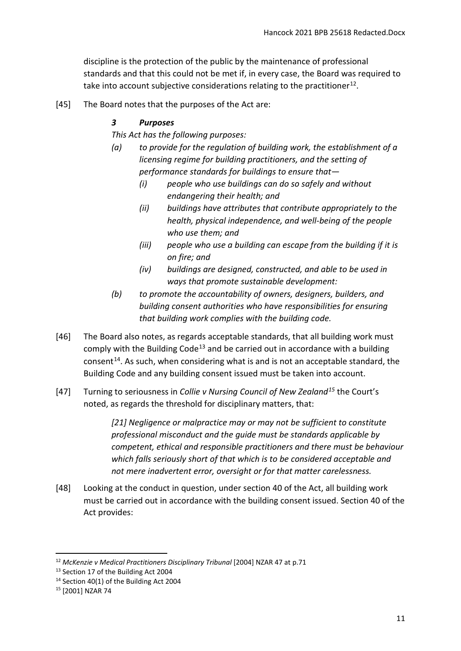discipline is the protection of the public by the maintenance of professional standards and that this could not be met if, in every case, the Board was required to take into account subjective considerations relating to the practitioner<sup>[12](#page-10-0)</sup>.

[45] The Board notes that the purposes of the Act are:

# *3 Purposes*

*This Act has the following purposes:*

- *(a) to provide for the regulation of building work, the establishment of a licensing regime for building practitioners, and the setting of performance standards for buildings to ensure that—* 
	- *(i) people who use buildings can do so safely and without endangering their health; and*
	- *(ii) buildings have attributes that contribute appropriately to the health, physical independence, and well-being of the people who use them; and*
	- *(iii) people who use a building can escape from the building if it is on fire; and*
	- *(iv) buildings are designed, constructed, and able to be used in ways that promote sustainable development:*
- *(b) to promote the accountability of owners, designers, builders, and building consent authorities who have responsibilities for ensuring that building work complies with the building code.*
- [46] The Board also notes, as regards acceptable standards, that all building work must comply with the Building Code<sup>[13](#page-10-1)</sup> and be carried out in accordance with a building consent<sup>[14](#page-10-2)</sup>. As such, when considering what is and is not an acceptable standard, the Building Code and any building consent issued must be taken into account.
- [47] Turning to seriousness in *Collie v Nursing Council of New Zealand[15](#page-10-3)* the Court's noted, as regards the threshold for disciplinary matters, that:

*[21] Negligence or malpractice may or may not be sufficient to constitute professional misconduct and the guide must be standards applicable by competent, ethical and responsible practitioners and there must be behaviour which falls seriously short of that which is to be considered acceptable and not mere inadvertent error, oversight or for that matter carelessness.*

[48] Looking at the conduct in question, under section 40 of the Act, all building work must be carried out in accordance with the building consent issued. Section 40 of the Act provides:

<span id="page-10-0"></span><sup>12</sup> *McKenzie v Medical Practitioners Disciplinary Tribunal* [2004] NZAR 47 at p.71

<span id="page-10-1"></span><sup>&</sup>lt;sup>13</sup> Section 17 of the Building Act 2004

<span id="page-10-2"></span><sup>14</sup> Section 40(1) of the Building Act 2004

<span id="page-10-3"></span><sup>15</sup> [2001] NZAR 74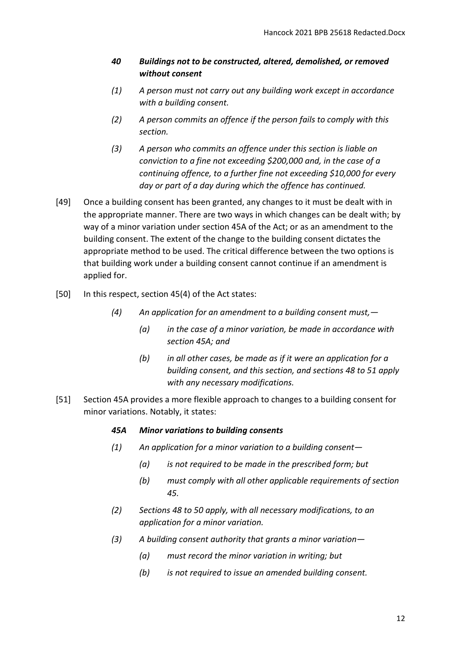# *40 Buildings not to be constructed, altered, demolished, or removed without consent*

- *(1) A person must not carry out any building work except in accordance with a building consent.*
- *(2) A person commits an offence if the person fails to comply with this section.*
- *(3) A person who commits an offence under this section is liable on conviction to a fine not exceeding \$200,000 and, in the case of a continuing offence, to a further fine not exceeding \$10,000 for every day or part of a day during which the offence has continued.*
- [49] Once a building consent has been granted, any changes to it must be dealt with in the appropriate manner. There are two ways in which changes can be dealt with; by way of a minor variation under section 45A of the Act; or as an amendment to the building consent. The extent of the change to the building consent dictates the appropriate method to be used. The critical difference between the two options is that building work under a building consent cannot continue if an amendment is applied for.
- [50] In this respect, section 45(4) of the Act states:
	- *(4) An application for an amendment to a building consent must,—* 
		- *(a) in the case of a minor variation, be made in accordance with section 45A; and*
		- *(b) in all other cases, be made as if it were an application for a building consent, and this section, and sections 48 to 51 apply with any necessary modifications.*
- [51] Section 45A provides a more flexible approach to changes to a building consent for minor variations. Notably, it states:

# *45A Minor variations to building consents*

- *(1) An application for a minor variation to a building consent—* 
	- *(a) is not required to be made in the prescribed form; but*
	- *(b) must comply with all other applicable requirements of section 45.*
- *(2) Sections 48 to 50 apply, with all necessary modifications, to an application for a minor variation.*
- *(3) A building consent authority that grants a minor variation—* 
	- *(a) must record the minor variation in writing; but*
	- *(b) is not required to issue an amended building consent.*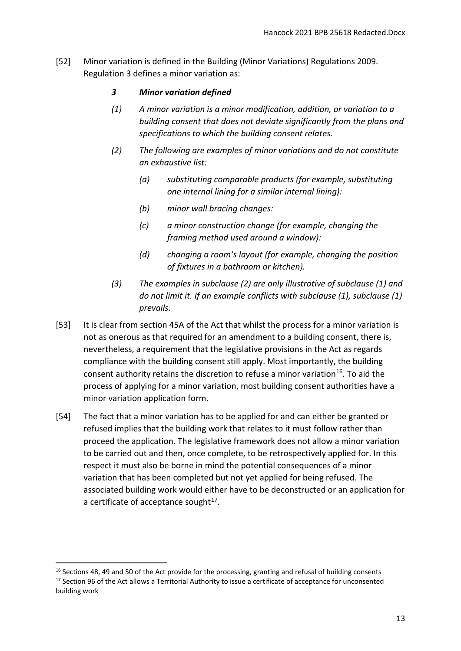[52] Minor variation is defined in the Building (Minor Variations) Regulations 2009. Regulation 3 defines a minor variation as:

# *3 Minor variation defined*

- *(1) A minor variation is a minor modification, addition, or variation to a building consent that does not deviate significantly from the plans and specifications to which the building consent relates.*
- *(2) The following are examples of minor variations and do not constitute an exhaustive list:*
	- *(a) substituting comparable products (for example, substituting one internal lining for a similar internal lining):*
	- *(b) minor wall bracing changes:*
	- *(c) a minor construction change (for example, changing the framing method used around a window):*
	- *(d) changing a room's layout (for example, changing the position of fixtures in a bathroom or kitchen).*
- *(3) The examples in subclause (2) are only illustrative of subclause (1) and do not limit it. If an example conflicts with subclause (1), subclause (1) prevails.*
- [53] It is clear from section 45A of the Act that whilst the process for a minor variation is not as onerous as that required for an amendment to a building consent, there is, nevertheless, a requirement that the legislative provisions in the Act as regards compliance with the building consent still apply. Most importantly, the building consent authority retains the discretion to refuse a minor variation<sup>16</sup>. To aid the process of applying for a minor variation, most building consent authorities have a minor variation application form.
- [54] The fact that a minor variation has to be applied for and can either be granted or refused implies that the building work that relates to it must follow rather than proceed the application. The legislative framework does not allow a minor variation to be carried out and then, once complete, to be retrospectively applied for. In this respect it must also be borne in mind the potential consequences of a minor variation that has been completed but not yet applied for being refused. The associated building work would either have to be deconstructed or an application for a certificate of acceptance sought $17$ .

 $\overline{a}$ 

<span id="page-12-1"></span><span id="page-12-0"></span> $16$  Sections 48, 49 and 50 of the Act provide for the processing, granting and refusal of building consents <sup>17</sup> Section 96 of the Act allows a Territorial Authority to issue a certificate of acceptance for unconsented building work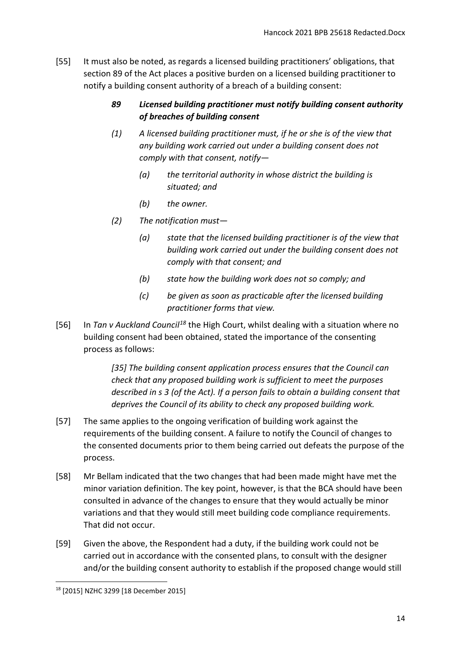- [55] It must also be noted, as regards a licensed building practitioners' obligations, that section 89 of the Act places a positive burden on a licensed building practitioner to notify a building consent authority of a breach of a building consent:
	- *89 Licensed building practitioner must notify building consent authority of breaches of building consent*
	- *(1) A licensed building practitioner must, if he or she is of the view that any building work carried out under a building consent does not comply with that consent, notify—* 
		- *(a) the territorial authority in whose district the building is situated; and*
		- *(b) the owner.*
	- *(2) The notification must—* 
		- *(a) state that the licensed building practitioner is of the view that building work carried out under the building consent does not comply with that consent; and*
		- *(b) state how the building work does not so comply; and*
		- *(c) be given as soon as practicable after the licensed building practitioner forms that view.*
- [56] In *Tan v Auckland Council[18](#page-13-0)* the High Court, whilst dealing with a situation where no building consent had been obtained, stated the importance of the consenting process as follows:

*[35] The building consent application process ensures that the Council can check that any proposed building work is sufficient to meet the purposes described in s 3 (of the Act). If a person fails to obtain a building consent that deprives the Council of its ability to check any proposed building work.* 

- [57] The same applies to the ongoing verification of building work against the requirements of the building consent. A failure to notify the Council of changes to the consented documents prior to them being carried out defeats the purpose of the process.
- [58] Mr Bellam indicated that the two changes that had been made might have met the minor variation definition. The key point, however, is that the BCA should have been consulted in advance of the changes to ensure that they would actually be minor variations and that they would still meet building code compliance requirements. That did not occur.
- [59] Given the above, the Respondent had a duty, if the building work could not be carried out in accordance with the consented plans, to consult with the designer and/or the building consent authority to establish if the proposed change would still

<span id="page-13-0"></span> $\overline{a}$ <sup>18</sup> [2015] NZHC 3299 [18 December 2015]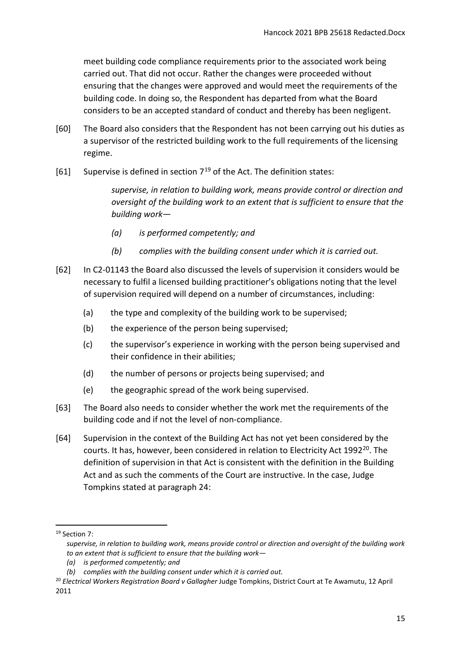meet building code compliance requirements prior to the associated work being carried out. That did not occur. Rather the changes were proceeded without ensuring that the changes were approved and would meet the requirements of the building code. In doing so, the Respondent has departed from what the Board considers to be an accepted standard of conduct and thereby has been negligent.

- [60] The Board also considers that the Respondent has not been carrying out his duties as a supervisor of the restricted building work to the full requirements of the licensing regime.
- [61] Supervise is defined in section  $7^{19}$  $7^{19}$  $7^{19}$  of the Act. The definition states:

*supervise, in relation to building work, means provide control or direction and oversight of the building work to an extent that is sufficient to ensure that the building work—* 

- *(a) is performed competently; and*
- *(b) complies with the building consent under which it is carried out.*
- [62] In C2-01143 the Board also discussed the levels of supervision it considers would be necessary to fulfil a licensed building practitioner's obligations noting that the level of supervision required will depend on a number of circumstances, including:
	- (a) the type and complexity of the building work to be supervised;
	- (b) the experience of the person being supervised;
	- (c) the supervisor's experience in working with the person being supervised and their confidence in their abilities;
	- (d) the number of persons or projects being supervised; and
	- (e) the geographic spread of the work being supervised.
- [63] The Board also needs to consider whether the work met the requirements of the building code and if not the level of non-compliance.
- [64] Supervision in the context of the Building Act has not yet been considered by the courts. It has, however, been considered in relation to Electricity Act 1992<sup>20</sup>. The definition of supervision in that Act is consistent with the definition in the Building Act and as such the comments of the Court are instructive. In the case, Judge Tompkins stated at paragraph 24:

<u>.</u>

<span id="page-14-0"></span><sup>&</sup>lt;sup>19</sup> Section 7:

*supervise, in relation to building work, means provide control or direction and oversight of the building work to an extent that is sufficient to ensure that the building work—* 

*<sup>(</sup>a) is performed competently; and*

*<sup>(</sup>b) complies with the building consent under which it is carried out.*

<span id="page-14-1"></span><sup>20</sup> *Electrical Workers Registration Board v Gallagher* Judge Tompkins, District Court at Te Awamutu, 12 April 2011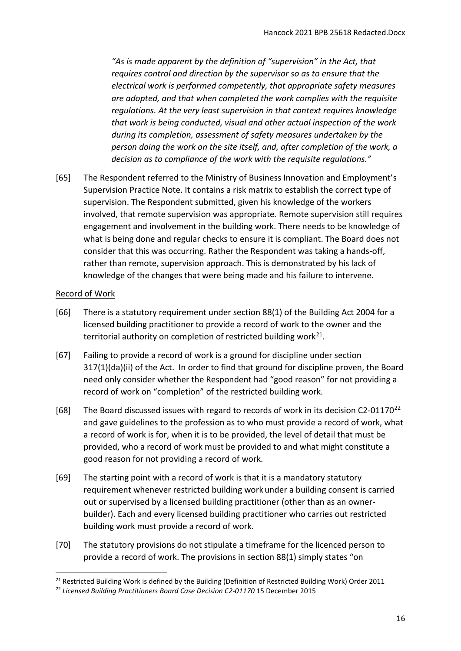*"As is made apparent by the definition of "supervision" in the Act, that requires control and direction by the supervisor so as to ensure that the electrical work is performed competently, that appropriate safety measures are adopted, and that when completed the work complies with the requisite regulations. At the very least supervision in that context requires knowledge that work is being conducted, visual and other actual inspection of the work during its completion, assessment of safety measures undertaken by the person doing the work on the site itself, and, after completion of the work, a decision as to compliance of the work with the requisite regulations."*

[65] The Respondent referred to the Ministry of Business Innovation and Employment's Supervision Practice Note. It contains a risk matrix to establish the correct type of supervision. The Respondent submitted, given his knowledge of the workers involved, that remote supervision was appropriate. Remote supervision still requires engagement and involvement in the building work. There needs to be knowledge of what is being done and regular checks to ensure it is compliant. The Board does not consider that this was occurring. Rather the Respondent was taking a hands-off, rather than remote, supervision approach. This is demonstrated by his lack of knowledge of the changes that were being made and his failure to intervene.

# <span id="page-15-0"></span>Record of Work

- [66] There is a statutory requirement under section 88(1) of the Building Act 2004 for a licensed building practitioner to provide a record of work to the owner and the territorial authority on completion of restricted building work $^{21}$ .
- [67] Failing to provide a record of work is a ground for discipline under section 317(1)(da)(ii) of the Act. In order to find that ground for discipline proven, the Board need only consider whether the Respondent had "good reason" for not providing a record of work on "completion" of the restricted building work.
- [68] The Board discussed issues with regard to records of work in its decision C2-01170<sup>[22](#page-15-2)</sup> and gave guidelines to the profession as to who must provide a record of work, what a record of work is for, when it is to be provided, the level of detail that must be provided, who a record of work must be provided to and what might constitute a good reason for not providing a record of work.
- [69] The starting point with a record of work is that it is a mandatory statutory requirement whenever restricted building work under a building consent is carried out or supervised by a licensed building practitioner (other than as an ownerbuilder). Each and every licensed building practitioner who carries out restricted building work must provide a record of work.
- [70] The statutory provisions do not stipulate a timeframe for the licenced person to provide a record of work. The provisions in section 88(1) simply states "on

<span id="page-15-1"></span><sup>&</sup>lt;sup>21</sup> Restricted Building Work is defined by the Building (Definition of Restricted Building Work) Order 2011

<span id="page-15-2"></span><sup>&</sup>lt;sup>22</sup> Licensed Building Practitioners Board Case Decision C2-01170 15 December 2015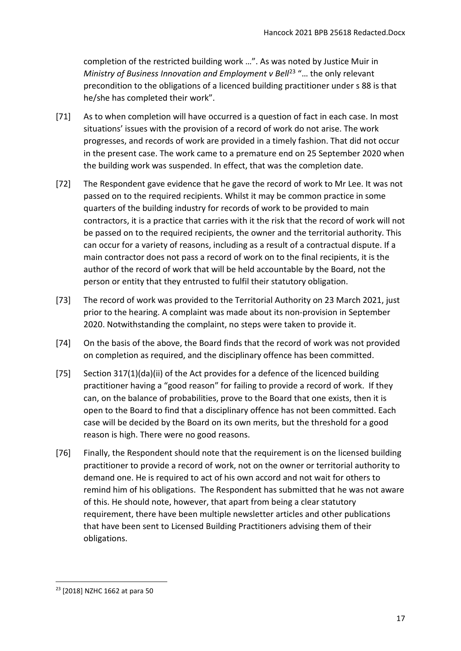completion of the restricted building work …". As was noted by Justice Muir in *Ministry of Business Innovation and Employment v Bell<sup>[23](#page-16-0)</sup> "... the only relevant* precondition to the obligations of a licenced building practitioner under s 88 is that he/she has completed their work".

- [71] As to when completion will have occurred is a question of fact in each case. In most situations' issues with the provision of a record of work do not arise. The work progresses, and records of work are provided in a timely fashion. That did not occur in the present case. The work came to a premature end on 25 September 2020 when the building work was suspended. In effect, that was the completion date.
- [72] The Respondent gave evidence that he gave the record of work to Mr Lee. It was not passed on to the required recipients. Whilst it may be common practice in some quarters of the building industry for records of work to be provided to main contractors, it is a practice that carries with it the risk that the record of work will not be passed on to the required recipients, the owner and the territorial authority. This can occur for a variety of reasons, including as a result of a contractual dispute. If a main contractor does not pass a record of work on to the final recipients, it is the author of the record of work that will be held accountable by the Board, not the person or entity that they entrusted to fulfil their statutory obligation.
- [73] The record of work was provided to the Territorial Authority on 23 March 2021, just prior to the hearing. A complaint was made about its non-provision in September 2020. Notwithstanding the complaint, no steps were taken to provide it.
- [74] On the basis of the above, the Board finds that the record of work was not provided on completion as required, and the disciplinary offence has been committed.
- [75] Section 317(1)(da)(ii) of the Act provides for a defence of the licenced building practitioner having a "good reason" for failing to provide a record of work. If they can, on the balance of probabilities, prove to the Board that one exists, then it is open to the Board to find that a disciplinary offence has not been committed. Each case will be decided by the Board on its own merits, but the threshold for a good reason is high. There were no good reasons.
- [76] Finally, the Respondent should note that the requirement is on the licensed building practitioner to provide a record of work, not on the owner or territorial authority to demand one. He is required to act of his own accord and not wait for others to remind him of his obligations. The Respondent has submitted that he was not aware of this. He should note, however, that apart from being a clear statutory requirement, there have been multiple newsletter articles and other publications that have been sent to Licensed Building Practitioners advising them of their obligations.

<span id="page-16-0"></span> $\overline{a}$ <sup>23</sup> [2018] NZHC 1662 at para 50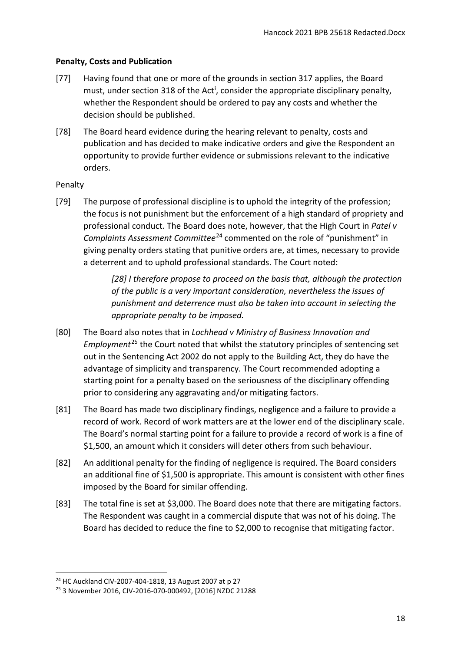# <span id="page-17-0"></span>**Penalty, Costs and Publication**

- [77] Having found that one or more of the grounds in section 317 applies, the Board must, under sect[i](#page-20-1)on 318 of the Act<sup>i</sup>, consider the appropriate disciplinary penalty, whether the Respondent should be ordered to pay any costs and whether the decision should be published.
- [78] The Board heard evidence during the hearing relevant to penalty, costs and publication and has decided to make indicative orders and give the Respondent an opportunity to provide further evidence or submissions relevant to the indicative orders.

# <span id="page-17-1"></span>**Penalty**

**.** 

[79] The purpose of professional discipline is to uphold the integrity of the profession; the focus is not punishment but the enforcement of a high standard of propriety and professional conduct. The Board does note, however, that the High Court in *Patel v Complaints Assessment Committee*[24](#page-17-2) commented on the role of "punishment" in giving penalty orders stating that punitive orders are, at times, necessary to provide a deterrent and to uphold professional standards. The Court noted:

> *[28] I therefore propose to proceed on the basis that, although the protection of the public is a very important consideration, nevertheless the issues of punishment and deterrence must also be taken into account in selecting the appropriate penalty to be imposed.*

- [80] The Board also notes that in *Lochhead v Ministry of Business Innovation and Employment*[25](#page-17-3) the Court noted that whilst the statutory principles of sentencing set out in the Sentencing Act 2002 do not apply to the Building Act, they do have the advantage of simplicity and transparency. The Court recommended adopting a starting point for a penalty based on the seriousness of the disciplinary offending prior to considering any aggravating and/or mitigating factors.
- [81] The Board has made two disciplinary findings, negligence and a failure to provide a record of work. Record of work matters are at the lower end of the disciplinary scale. The Board's normal starting point for a failure to provide a record of work is a fine of \$1,500, an amount which it considers will deter others from such behaviour.
- [82] An additional penalty for the finding of negligence is required. The Board considers an additional fine of \$1,500 is appropriate. This amount is consistent with other fines imposed by the Board for similar offending.
- [83] The total fine is set at \$3,000. The Board does note that there are mitigating factors. The Respondent was caught in a commercial dispute that was not of his doing. The Board has decided to reduce the fine to \$2,000 to recognise that mitigating factor.

<span id="page-17-2"></span><sup>24</sup> HC Auckland CIV-2007-404-1818, 13 August 2007 at p 27

<span id="page-17-3"></span><sup>25</sup> 3 November 2016, CIV-2016-070-000492, [2016] NZDC 21288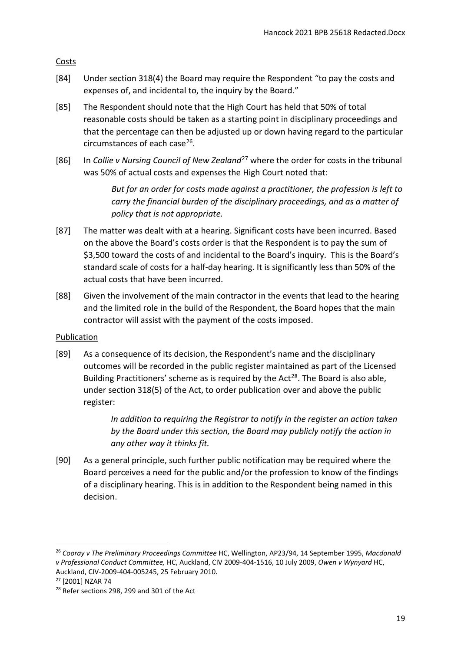<span id="page-18-0"></span>**Costs** 

- [84] Under section 318(4) the Board may require the Respondent "to pay the costs and expenses of, and incidental to, the inquiry by the Board."
- [85] The Respondent should note that the High Court has held that 50% of total reasonable costs should be taken as a starting point in disciplinary proceedings and that the percentage can then be adjusted up or down having regard to the particular circumstances of each case $^{26}$ .
- [86] In *Collie v Nursing Council of New Zealand*[27](#page-18-3) where the order for costs in the tribunal was 50% of actual costs and expenses the High Court noted that:

*But for an order for costs made against a practitioner, the profession is left to carry the financial burden of the disciplinary proceedings, and as a matter of policy that is not appropriate.*

- [87] The matter was dealt with at a hearing. Significant costs have been incurred. Based on the above the Board's costs order is that the Respondent is to pay the sum of \$3,500 toward the costs of and incidental to the Board's inquiry. This is the Board's standard scale of costs for a half-day hearing. It is significantly less than 50% of the actual costs that have been incurred.
- [88] Given the involvement of the main contractor in the events that lead to the hearing and the limited role in the build of the Respondent, the Board hopes that the main contractor will assist with the payment of the costs imposed.

# <span id="page-18-1"></span>Publication

[89] As a consequence of its decision, the Respondent's name and the disciplinary outcomes will be recorded in the public register maintained as part of the Licensed Building Practitioners' scheme as is required by the Act<sup>[28](#page-18-4)</sup>. The Board is also able, under section 318(5) of the Act, to order publication over and above the public register:

> *In addition to requiring the Registrar to notify in the register an action taken by the Board under this section, the Board may publicly notify the action in any other way it thinks fit.*

[90] As a general principle, such further public notification may be required where the Board perceives a need for the public and/or the profession to know of the findings of a disciplinary hearing. This is in addition to the Respondent being named in this decision.

<u>.</u>

<span id="page-18-2"></span><sup>26</sup> *Cooray v The Preliminary Proceedings Committee* HC, Wellington, AP23/94, 14 September 1995, *Macdonald v Professional Conduct Committee,* HC, Auckland, CIV 2009-404-1516, 10 July 2009, *Owen v Wynyard* HC, Auckland, CIV-2009-404-005245, 25 February 2010.<br><sup>27</sup> [2001] NZAR 74

<span id="page-18-3"></span>

<span id="page-18-4"></span><sup>&</sup>lt;sup>28</sup> Refer sections 298, 299 and 301 of the Act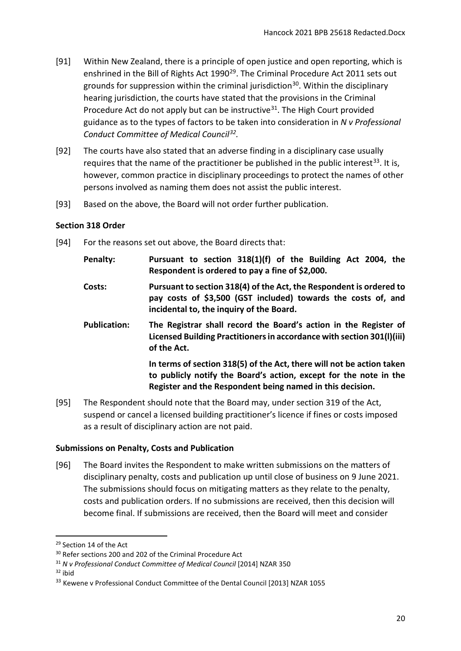- [91] Within New Zealand, there is a principle of open justice and open reporting, which is enshrined in the Bill of Rights Act 1990<sup>29</sup>. The Criminal Procedure Act 2011 sets out grounds for suppression within the criminal jurisdiction<sup>30</sup>. Within the disciplinary hearing jurisdiction, the courts have stated that the provisions in the Criminal Procedure Act do not apply but can be instructive<sup>[31](#page-19-4)</sup>. The High Court provided guidance as to the types of factors to be taken into consideration in *N v Professional Conduct Committee of Medical Council[32](#page-19-5).*
- [92] The courts have also stated that an adverse finding in a disciplinary case usually requires that the name of the practitioner be published in the public interest<sup>[33](#page-19-6)</sup>. It is, however, common practice in disciplinary proceedings to protect the names of other persons involved as naming them does not assist the public interest.
- [93] Based on the above, the Board will not order further publication.

#### <span id="page-19-0"></span>**Section 318 Order**

[94] For the reasons set out above, the Board directs that:

| Penalty:            | Pursuant to section 318(1)(f) of the Building Act 2004, the<br>Respondent is ordered to pay a fine of \$2,000.                                                                                          |
|---------------------|---------------------------------------------------------------------------------------------------------------------------------------------------------------------------------------------------------|
| Costs:              | Pursuant to section 318(4) of the Act, the Respondent is ordered to<br>pay costs of \$3,500 (GST included) towards the costs of, and<br>incidental to, the inquiry of the Board.                        |
| <b>Publication:</b> | The Registrar shall record the Board's action in the Register of<br>Licensed Building Practitioners in accordance with section 301(I)(iii)<br>of the Act.                                               |
|                     | In terms of section 318(5) of the Act, there will not be action taken<br>to publicly notify the Board's action, except for the note in the<br>Register and the Respondent being named in this decision. |

[95] The Respondent should note that the Board may, under section 319 of the Act, suspend or cancel a licensed building practitioner's licence if fines or costs imposed as a result of disciplinary action are not paid.

#### <span id="page-19-1"></span>**Submissions on Penalty, Costs and Publication**

[96] The Board invites the Respondent to make written submissions on the matters of disciplinary penalty, costs and publication up until close of business on 9 June 2021. The submissions should focus on mitigating matters as they relate to the penalty, costs and publication orders. If no submissions are received, then this decision will become final. If submissions are received, then the Board will meet and consider

<span id="page-19-2"></span><sup>29</sup> Section 14 of the Act

<span id="page-19-3"></span><sup>&</sup>lt;sup>30</sup> Refer sections 200 and 202 of the Criminal Procedure Act

<span id="page-19-4"></span><sup>31</sup> *N v Professional Conduct Committee of Medical Council* [2014] NZAR 350

<span id="page-19-5"></span> $32$  ibid

<span id="page-19-6"></span><sup>&</sup>lt;sup>33</sup> Kewene v Professional Conduct Committee of the Dental Council [2013] NZAR 1055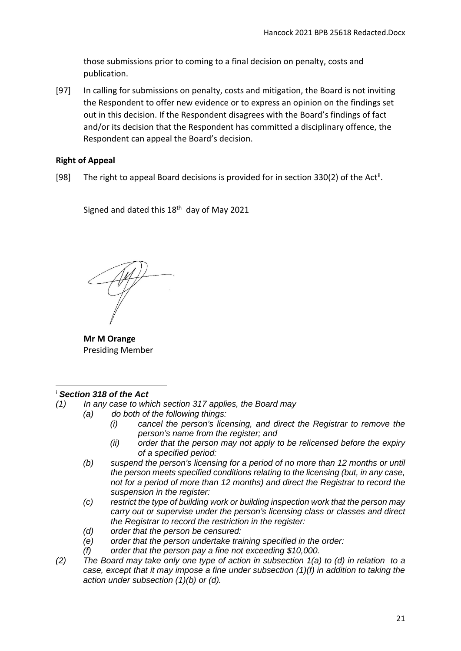those submissions prior to coming to a final decision on penalty, costs and publication.

[97] In calling for submissions on penalty, costs and mitigation, the Board is not inviting the Respondent to offer new evidence or to express an opinion on the findings set out in this decision. If the Respondent disagrees with the Board's findings of fact and/or its decision that the Respondent has committed a disciplinary offence, the Respondent can appeal the Board's decision.

# <span id="page-20-0"></span>**Right of Appeal**

[98] The right to appeal Board decisions is provided for in section 330(2) of the Act<sup>[ii](#page-21-0)</sup>.

Signed and dated this  $18<sup>th</sup>$  day of May 2021

**Mr M Orange**  Presiding Member

#### <span id="page-20-1"></span><sup>i</sup> *Section 318 of the Act*  $\overline{a}$

- *(1) In any case to which section 317 applies, the Board may*
	- *(a) do both of the following things:*
		- *(i) cancel the person's licensing, and direct the Registrar to remove the person's name from the register; and*
		- *(ii) order that the person may not apply to be relicensed before the expiry of a specified period:*
		- *(b) suspend the person's licensing for a period of no more than 12 months or until the person meets specified conditions relating to the licensing (but, in any case, not for a period of more than 12 months) and direct the Registrar to record the suspension in the register:*
		- *(c) restrict the type of building work or building inspection work that the person may carry out or supervise under the person's licensing class or classes and direct the Registrar to record the restriction in the register:*
		- *(d) order that the person be censured:*
		- *(e) order that the person undertake training specified in the order:*
		- *(f) order that the person pay a fine not exceeding \$10,000.*
- *(2) The Board may take only one type of action in subsection 1(a) to (d) in relation to a case, except that it may impose a fine under subsection (1)(f) in addition to taking the action under subsection (1)(b) or (d).*